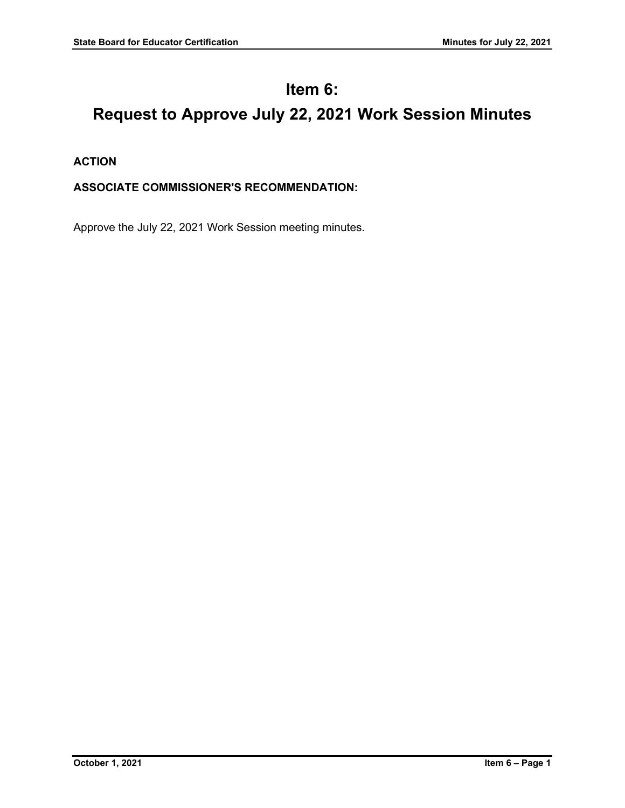## **Item 6:**

# **Request to Approve July 22, 2021 Work Session Minutes**

**ACTION**

### **ASSOCIATE COMMISSIONER'S RECOMMENDATION:**

Approve the July 22, 2021 Work Session meeting minutes.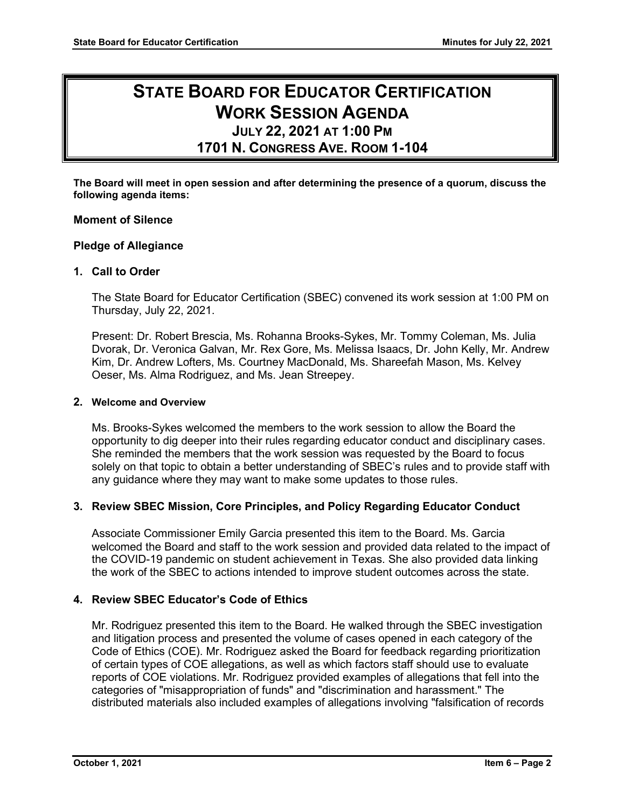### **STATE BOARD FOR EDUCATOR CERTIFICATION WORK SESSION AGENDA JULY 22, 2021 AT 1:00 PM**

### **1701 N. CONGRESS AVE. ROOM 1-104**

**The Board will meet in open session and after determining the presence of a quorum, discuss the following agenda items:**

#### **Moment of Silence**

#### **Pledge of Allegiance**

#### **1. Call to Order**

The State Board for Educator Certification (SBEC) convened its work session at 1:00 PM on Thursday, July 22, 2021.

Present: Dr. Robert Brescia, Ms. Rohanna Brooks-Sykes, Mr. Tommy Coleman, Ms. Julia Dvorak, Dr. Veronica Galvan, Mr. Rex Gore, Ms. Melissa Isaacs, Dr. John Kelly, Mr. Andrew Kim, Dr. Andrew Lofters, Ms. Courtney MacDonald, Ms. Shareefah Mason, Ms. Kelvey Oeser, Ms. Alma Rodriguez, and Ms. Jean Streepey.

#### **2. Welcome and Overview**

Ms. Brooks-Sykes welcomed the members to the work session to allow the Board the opportunity to dig deeper into their rules regarding educator conduct and disciplinary cases. She reminded the members that the work session was requested by the Board to focus solely on that topic to obtain a better understanding of SBEC's rules and to provide staff with any guidance where they may want to make some updates to those rules.

#### **3. Review SBEC Mission, Core Principles, and Policy Regarding Educator Conduct**

Associate Commissioner Emily Garcia presented this item to the Board. Ms. Garcia welcomed the Board and staff to the work session and provided data related to the impact of the COVID-19 pandemic on student achievement in Texas. She also provided data linking the work of the SBEC to actions intended to improve student outcomes across the state.

#### **4. Review SBEC Educator's Code of Ethics**

Mr. Rodriguez presented this item to the Board. He walked through the SBEC investigation and litigation process and presented the volume of cases opened in each category of the Code of Ethics (COE). Mr. Rodriguez asked the Board for feedback regarding prioritization of certain types of COE allegations, as well as which factors staff should use to evaluate reports of COE violations. Mr. Rodriguez provided examples of allegations that fell into the categories of "misappropriation of funds" and "discrimination and harassment." The distributed materials also included examples of allegations involving "falsification of records